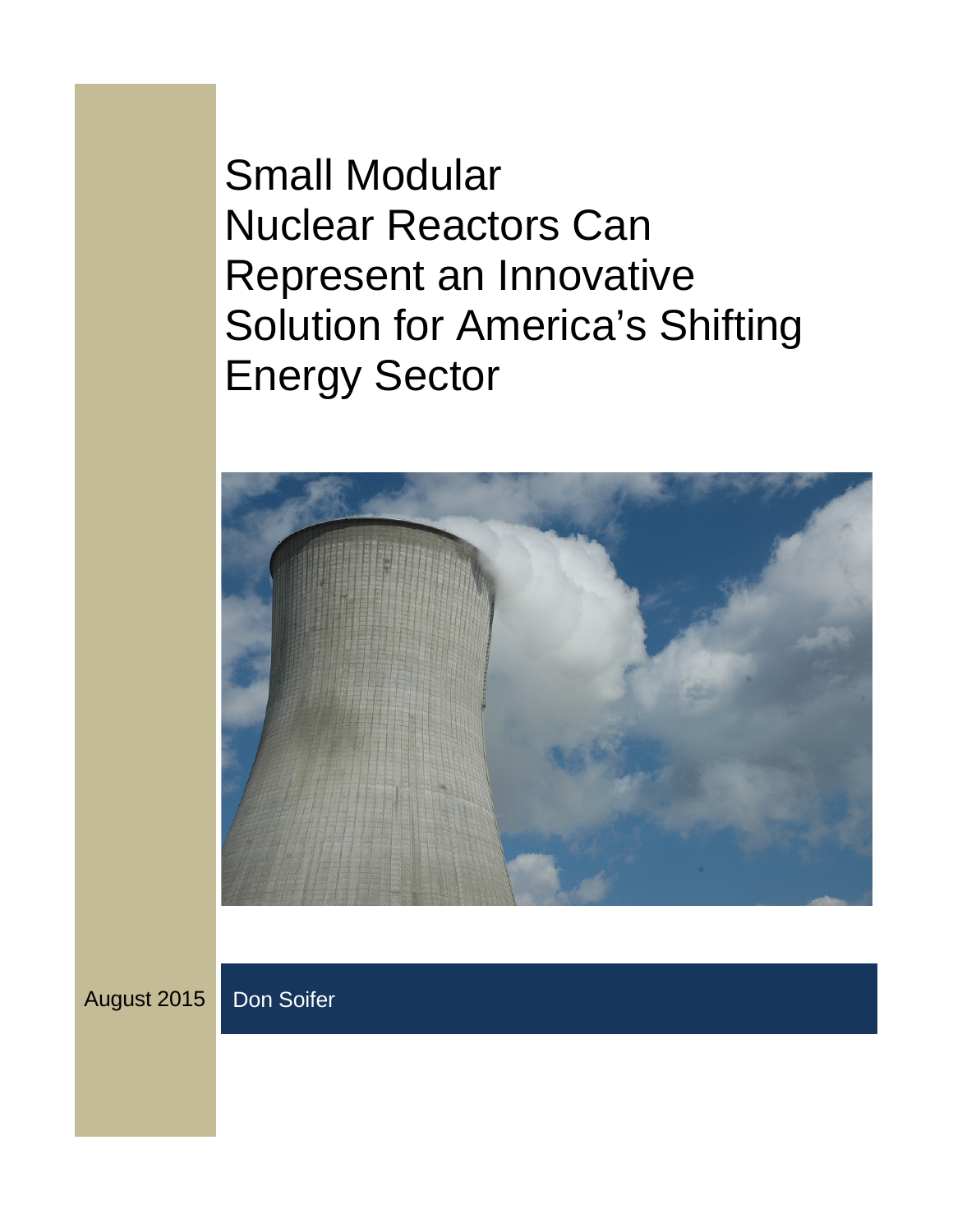Small Modular Nuclear Reactors Can Represent an Innovative Solution for America's Shifting Energy Sector



August 2015 Don Soifer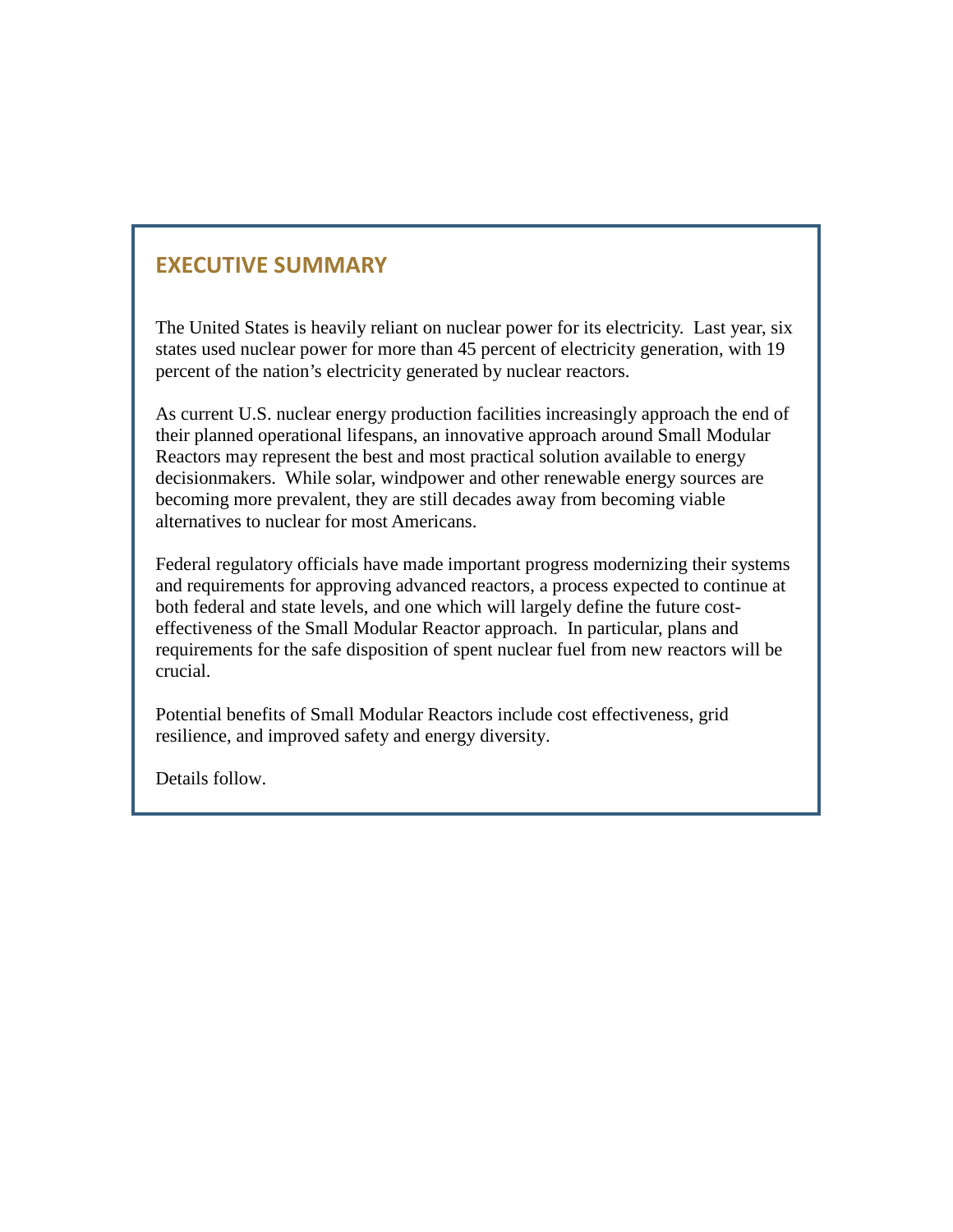# **EXECUTIVE SUMMARY**

The United States is heavily reliant on nuclear power for its electricity. Last year, six states used nuclear power for more than 45 percent of electricity generation, with 19 percent of the nation's electricity generated by nuclear reactors.

As current U.S. nuclear energy production facilities increasingly approach the end of their planned operational lifespans, an innovative approach around Small Modular Reactors may represent the best and most practical solution available to energy decisionmakers. While solar, windpower and other renewable energy sources are becoming more prevalent, they are still decades away from becoming viable alternatives to nuclear for most Americans.

Federal regulatory officials have made important progress modernizing their systems and requirements for approving advanced reactors, a process expected to continue at both federal and state levels, and one which will largely define the future costeffectiveness of the Small Modular Reactor approach. In particular, plans and requirements for the safe disposition of spent nuclear fuel from new reactors will be crucial.

Potential benefits of Small Modular Reactors include cost effectiveness, grid resilience, and improved safety and energy diversity.

Details follow.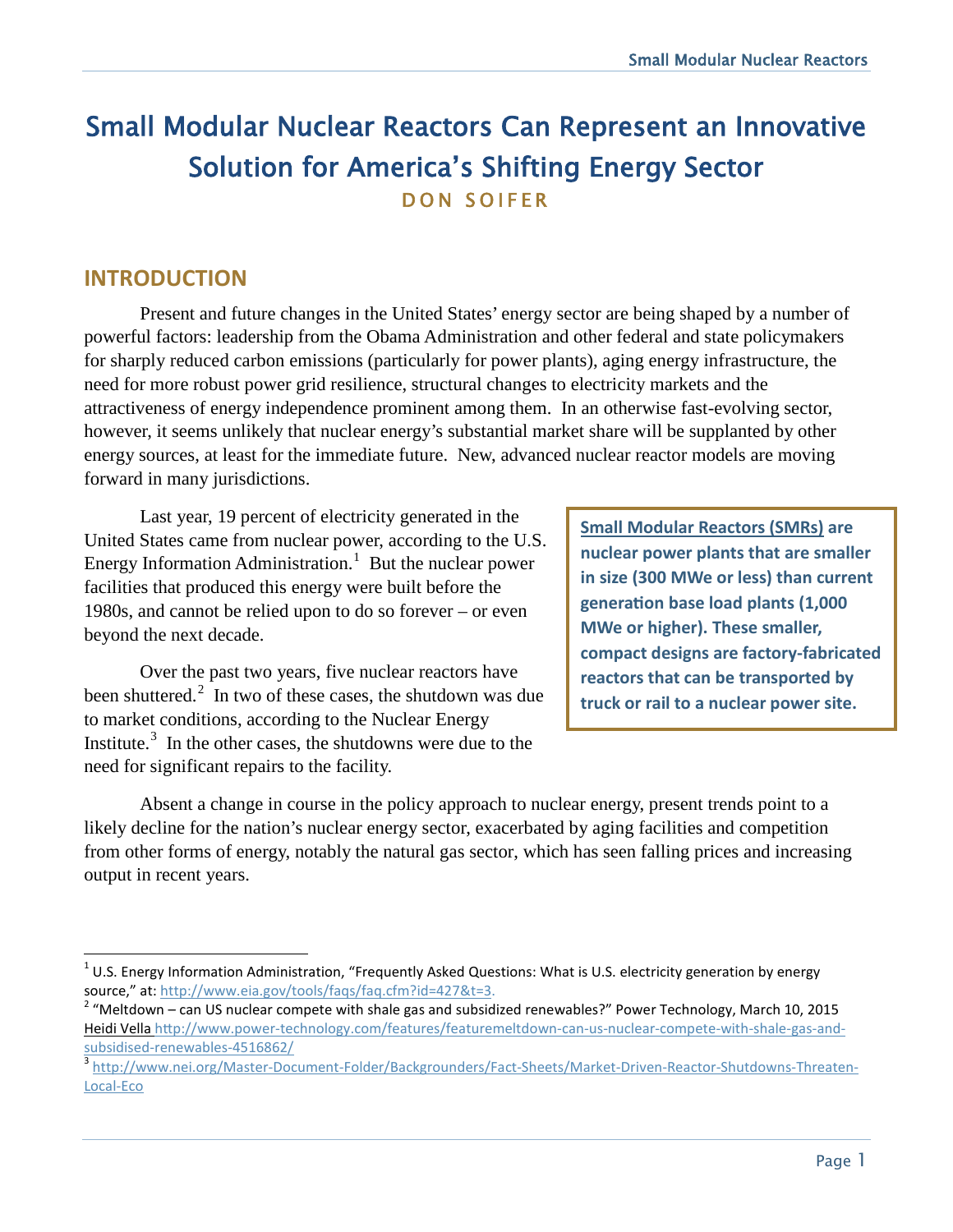# Small Modular Nuclear Reactors Can Represent an Innovative Solution for America's Shifting Energy Sector DON SOIFER

### **INTRODUCTION**

Present and future changes in the United States' energy sector are being shaped by a number of powerful factors: leadership from the Obama Administration and other federal and state policymakers for sharply reduced carbon emissions (particularly for power plants), aging energy infrastructure, the need for more robust power grid resilience, structural changes to electricity markets and the attractiveness of energy independence prominent among them. In an otherwise fast-evolving sector, however, it seems unlikely that nuclear energy's substantial market share will be supplanted by other energy sources, at least for the immediate future. New, advanced nuclear reactor models are moving forward in many jurisdictions.

Last year, 19 percent of electricity generated in the United States came from nuclear power, according to the U.S. Energy Information Administration. $<sup>1</sup>$  $<sup>1</sup>$  $<sup>1</sup>$  But the nuclear power</sup> facilities that produced this energy were built before the 1980s, and cannot be relied upon to do so forever – or even beyond the next decade.

Over the past two years, five nuclear reactors have been shuttered. $\frac{2}{1}$  $\frac{2}{1}$  $\frac{2}{1}$  In two of these cases, the shutdown was due to market conditions, according to the Nuclear Energy Institute. $3$  In the other cases, the shutdowns were due to the need for significant repairs to the facility.

**Small Modular Reactors (SMRs) are nuclear power plants that are smaller in size (300 MWe or less) than current generation base load plants (1,000 MWe or higher). These smaller, compact designs are factory-fabricated reactors that can be transported by truck or rail to a nuclear power site.**

Absent a change in course in the policy approach to nuclear energy, present trends point to a likely decline for the nation's nuclear energy sector, exacerbated by aging facilities and competition from other forms of energy, notably the natural gas sector, which has seen falling prices and increasing output in recent years.

<span id="page-2-0"></span> $\overline{1}$  $1$  U.S. Energy Information Administration, "Frequently Asked Questions: What is U.S. electricity generation by energy source," at: [http://www.eia.gov/tools/faqs/faq.cfm?id=427&t=3.](http://www.eia.gov/tools/faqs/faq.cfm?id=427&t=3)<br><sup>2</sup> "Meltdown – can US nuclear compete with shale gas and subsidized renewables?" Power Technology, March 10, 2015

<span id="page-2-1"></span>[Heidi Vella](http://www.power-technology.com/contributors/contributor2262/) http://www.power-technology.com/features/featuremeltdown-can-us-nuclear-compete-with-shale-gas-and-<br>subsidised-renewables-4516862/

<span id="page-2-2"></span><sup>3</sup> [http://www.nei.org/Master-Document-Folder/Backgrounders/Fact-Sheets/Market-Driven-Reactor-Shutdowns-Threaten-](http://www.nei.org/Master-Document-Folder/Backgrounders/Fact-Sheets/Market-Driven-Reactor-Shutdowns-Threaten-Local-Eco)[Local-Eco](http://www.nei.org/Master-Document-Folder/Backgrounders/Fact-Sheets/Market-Driven-Reactor-Shutdowns-Threaten-Local-Eco)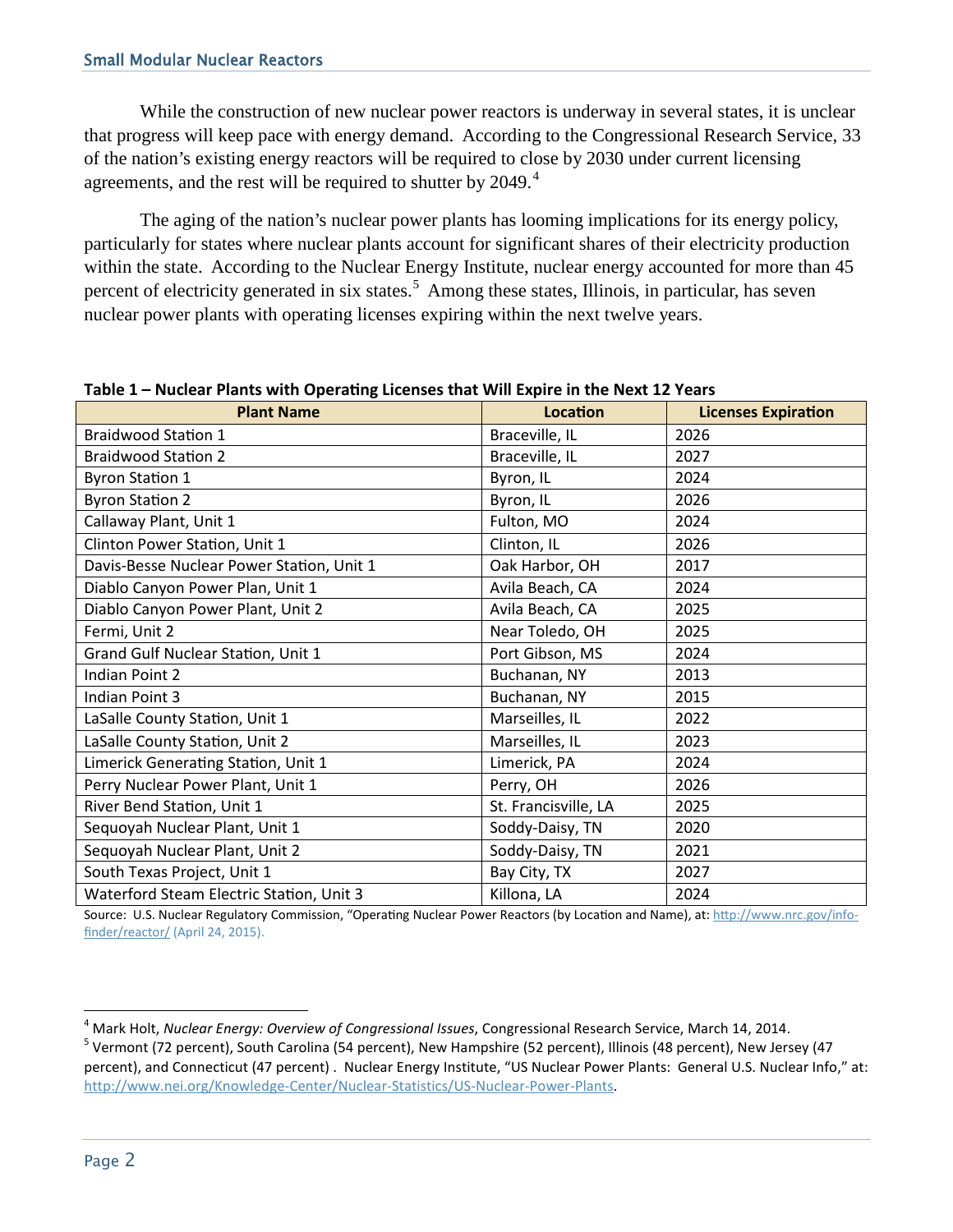While the construction of new nuclear power reactors is underway in several states, it is unclear that progress will keep pace with energy demand. According to the Congressional Research Service, 33 of the nation's existing energy reactors will be required to close by 2030 under current licensing agreements, and the rest will be required to shutter by 20[4](#page-3-0)9.<sup>4</sup>

The aging of the nation's nuclear power plants has looming implications for its energy policy, particularly for states where nuclear plants account for significant shares of their electricity production within the state. According to the Nuclear Energy Institute, nuclear energy accounted for more than 45 percent of electricity generated in six states.<sup>[5](#page-3-1)</sup> Among these states, Illinois, in particular, has seven nuclear power plants with operating licenses expiring within the next twelve years.

| <b>Plant Name</b>                         | Location             | <b>Licenses Expiration</b> |
|-------------------------------------------|----------------------|----------------------------|
| <b>Braidwood Station 1</b>                | Braceville, IL       | 2026                       |
| <b>Braidwood Station 2</b>                | Braceville, IL       | 2027                       |
| <b>Byron Station 1</b>                    | Byron, IL            | 2024                       |
| <b>Byron Station 2</b>                    | Byron, IL            | 2026                       |
| Callaway Plant, Unit 1                    | Fulton, MO           | 2024                       |
| Clinton Power Station, Unit 1             | Clinton, IL          | 2026                       |
| Davis-Besse Nuclear Power Station, Unit 1 | Oak Harbor, OH       | 2017                       |
| Diablo Canyon Power Plan, Unit 1          | Avila Beach, CA      | 2024                       |
| Diablo Canyon Power Plant, Unit 2         | Avila Beach, CA      | 2025                       |
| Fermi, Unit 2                             | Near Toledo, OH      | 2025                       |
| Grand Gulf Nuclear Station, Unit 1        | Port Gibson, MS      | 2024                       |
| Indian Point 2                            | Buchanan, NY         | 2013                       |
| Indian Point 3                            | Buchanan, NY         | 2015                       |
| LaSalle County Station, Unit 1            | Marseilles, IL       | 2022                       |
| LaSalle County Station, Unit 2            | Marseilles, IL       | 2023                       |
| Limerick Generating Station, Unit 1       | Limerick, PA         | 2024                       |
| Perry Nuclear Power Plant, Unit 1         | Perry, OH            | 2026                       |
| River Bend Station, Unit 1                | St. Francisville, LA | 2025                       |
| Sequoyah Nuclear Plant, Unit 1            | Soddy-Daisy, TN      | 2020                       |
| Sequoyah Nuclear Plant, Unit 2            | Soddy-Daisy, TN      | 2021                       |
| South Texas Project, Unit 1               | Bay City, TX         | 2027                       |
| Waterford Steam Electric Station, Unit 3  | Killona, LA          | 2024                       |

#### **Table 1 – Nuclear Plants with Operating Licenses that Will Expire in the Next 12 Years**

Source: U.S. Nuclear Regulatory Commission, "Operating Nuclear Power Reactors (by Location and Name), at[: http://www.nrc.gov/info](http://www.nrc.gov/info-finder/reactor/)[finder/reactor/](http://www.nrc.gov/info-finder/reactor/) (April 24, 2015).

<span id="page-3-1"></span><span id="page-3-0"></span><sup>&</sup>lt;sup>4</sup> Mark Holt, Nuclear Energy: Overview of Congressional Issues, Congressional Research Service, March 14, 2014. <sup>5</sup> Vermont (72 percent), South Carolina (54 percent), New Hampshire (52 percent), Illinois (48 percent), New Jersey (47 percent), and Connecticut (47 percent) . Nuclear Energy Institute, "US Nuclear Power Plants: General U.S. Nuclear Info," at: [http://www.nei.org/Knowledge-Center/Nuclear-Statistics/US-Nuclear-Power-Plants.](http://www.nei.org/Knowledge-Center/Nuclear-Statistics/US-Nuclear-Power-Plants)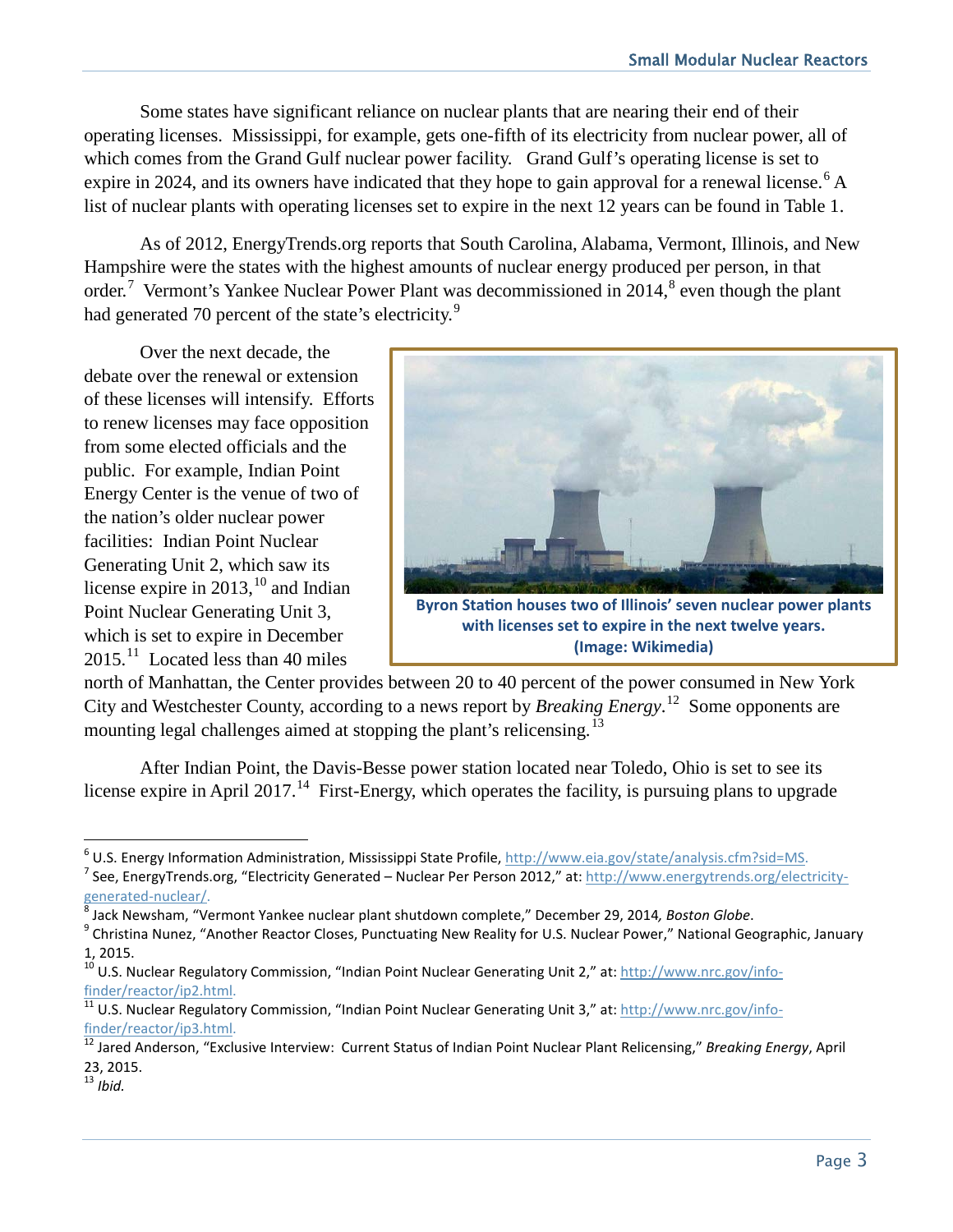Some states have significant reliance on nuclear plants that are nearing their end of their operating licenses. Mississippi, for example, gets one-fifth of its electricity from nuclear power, all of which comes from the Grand Gulf nuclear power facility. Grand Gulf's operating license is set to expire in 2024, and its owners have indicated that they hope to gain approval for a renewal license.<sup>[6](#page-4-0)</sup> A list of nuclear plants with operating licenses set to expire in the next 12 years can be found in Table 1.

As of 2012, EnergyTrends.org reports that South Carolina, Alabama, Vermont, Illinois, and New Hampshire were the states with the highest amounts of nuclear energy produced per person, in that order.<sup>[7](#page-4-1)</sup> Vermont's Yankee Nuclear Power Plant was decommissioned in 2014,<sup>[8](#page-4-2)</sup> even though the plant had generated 70 percent of the state's electricity.<sup>[9](#page-4-3)</sup>

Over the next decade, the debate over the renewal or extension of these licenses will intensify. Efforts to renew licenses may face opposition from some elected officials and the public. For example, Indian Point Energy Center is the venue of two of the nation's older nuclear power facilities: Indian Point Nuclear Generating Unit 2, which saw its license expire in  $2013$ ,<sup>[10](#page-4-4)</sup> and Indian Point Nuclear Generating Unit 3, which is set to expire in December  $2015.<sup>11</sup>$  Located less than 40 miles



**with licenses set to expire in the next twelve years. (Image: Wikimedia)**

north of Manhattan, the Center provides between 20 to 40 percent of the power consumed in New York City and Westchester County, according to a news report by *Breaking Energy*. [12](#page-4-6) Some opponents are mounting legal challenges aimed at stopping the plant's relicensing.<sup>[13](#page-4-7)</sup>

After Indian Point, the Davis-Besse power station located near Toledo, Ohio is set to see its license expire in April 2017.<sup>14</sup> First-Energy, which operates the facility, is pursuing plans to upgrade

<span id="page-4-0"></span><sup>&</sup>lt;sup>6</sup> U.S. Energy Information Administration, Mississippi State Profile, http://www.eia.gov/state/analysis.cfm?sid=MS.

<span id="page-4-1"></span><sup>&</sup>lt;sup>7</sup> See, EnergyTrends.org, "Electricity Generated – Nuclear Per Person 2012," at: http://www.energytrends.org/electricity-<br>generated-nuclear/.

<span id="page-4-3"></span><span id="page-4-2"></span><sup>&</sup>lt;sup>8</sup> Jack Newsham, "Vermont Yankee nuclear plant shutdown complete," December 29, 2014, *Boston Globe*.<br><sup>9</sup> Christina Nunez, "Another Reactor Closes, Punctuating New Reality for U.S. Nuclear Power," National Geographic, Jan 1, 2015.

<span id="page-4-4"></span><sup>&</sup>lt;sup>10</sup> U.S. Nuclear Regulatory Commission, "Indian Point Nuclear Generating Unit 2," at: [http://www.nrc.gov/info](http://www.nrc.gov/info-finder/reactor/ip2.html)[finder/reactor/ip2.html.](http://www.nrc.gov/info-finder/reactor/ip2.html)<br><sup>[11](http://www.nrc.gov/info-finder/reactor/ip2.html)</sup> U.S. Nuclear Regulatory Commission, "Indian Point Nuclear Generating Unit 3," at: [http://www.nrc.gov/info-](http://www.nrc.gov/info-finder/reactor/ip3.html)

<span id="page-4-5"></span>[finder/reactor/ip3.html.](http://www.nrc.gov/info-finder/reactor/ip3.html) <sup>12</sup> Jared Anderson, "Exclusive Interview: Current Status of Indian Point Nuclear Plant Relicensing," *Breaking Energy*, April

<span id="page-4-6"></span><sup>23, 2015.</sup>

<span id="page-4-7"></span><sup>13</sup> *Ibid.*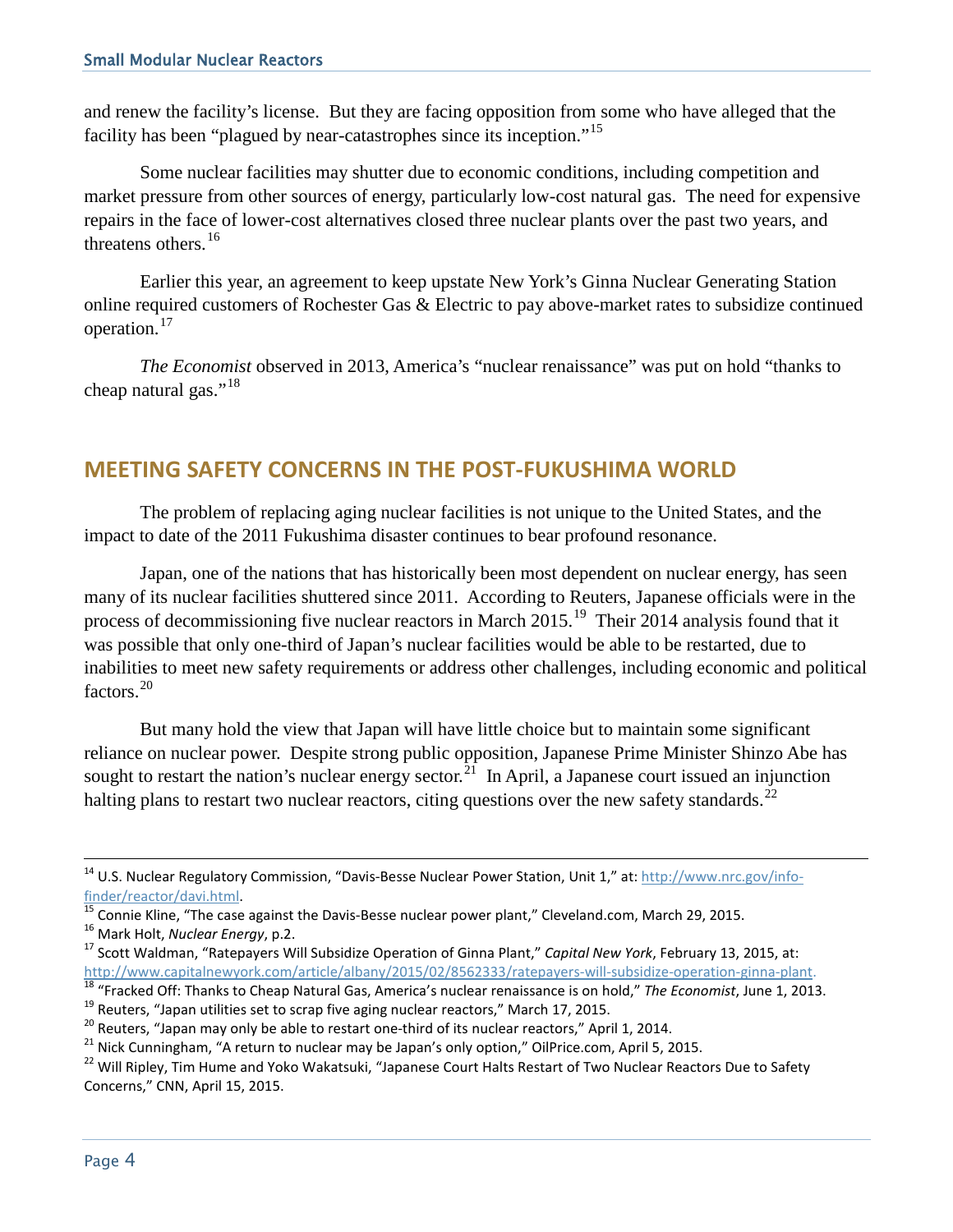and renew the facility's license. But they are facing opposition from some who have alleged that the facility has been "plagued by near-catastrophes since its inception."[15](#page-5-0)

Some nuclear facilities may shutter due to economic conditions, including competition and market pressure from other sources of energy, particularly low-cost natural gas. The need for expensive repairs in the face of lower-cost alternatives closed three nuclear plants over the past two years, and threatens others.<sup>[16](#page-5-1)</sup>

Earlier this year, an agreement to keep upstate New York's Ginna Nuclear Generating Station online required customers of Rochester Gas & Electric to pay above-market rates to subsidize continued operation.[17](#page-5-2)

*The Economist* observed in 2013, America's "nuclear renaissance" was put on hold "thanks to cheap natural gas."<sup>[18](#page-5-3)</sup>

#### **MEETING SAFETY CONCERNS IN THE POST-FUKUSHIMA WORLD**

The problem of replacing aging nuclear facilities is not unique to the United States, and the impact to date of the 2011 Fukushima disaster continues to bear profound resonance.

Japan, one of the nations that has historically been most dependent on nuclear energy, has seen many of its nuclear facilities shuttered since 2011. According to Reuters, Japanese officials were in the process of decommissioning five nuclear reactors in March  $2015$ .<sup>19</sup> Their 2014 analysis found that it was possible that only one-third of Japan's nuclear facilities would be able to be restarted, due to inabilities to meet new safety requirements or address other challenges, including economic and political factors.<sup>[20](#page-5-5)</sup>

But many hold the view that Japan will have little choice but to maintain some significant reliance on nuclear power. Despite strong public opposition, Japanese Prime Minister Shinzo Abe has sought to restart the nation's nuclear energy sector.<sup>[21](#page-5-6)</sup> In April, a Japanese court issued an injunction halting plans to restart two nuclear reactors, citing questions over the new safety standards.<sup>22</sup>

<sup>&</sup>lt;sup>14</sup> U.S. Nuclear Regulatory Commission, "Davis-Besse Nuclear Power Station, Unit 1," at: [http://www.nrc.gov/info-](http://www.nrc.gov/info-finder/reactor/davi.html)

<span id="page-5-2"></span><span id="page-5-1"></span>

<span id="page-5-0"></span> $\frac{\text{finder/reactor/davi.html}}{\text{15} }$ <br>  $\frac{\text{finder/reactor/davi.html}}{\text{15} }$ <br>  $\frac{\text{finter/15} }{\text{15} }$ <br>  $\frac{\text{finter/15} }{\text{15} }$ <br>  $\frac{\text{finter/15} }{\text{15} }$ <br>  $\frac{\text{finter/15} }{\text{15} }$ <br>  $\frac{\text{finter/15} }{\text{15} }$ <br>  $\frac{\text{finter/15} }{\text{15} }$ <br>  $\frac{\text{finter/15} }{\text{15} }$ <br>  $\frac{\text{finter/15} }$ 

<span id="page-5-6"></span><span id="page-5-5"></span>

<span id="page-5-7"></span>

<span id="page-5-4"></span><span id="page-5-3"></span><sup>&</sup>lt;sup>18</sup> "Fracked Off: Thanks to Cheap Natural Gas, America's nuclear renaissance is on hold," The Economist, June 1, 2013.<br><sup>19</sup> Reuters, "Japan utilities set to scrap five aging nuclear reactors," March 17, 2015.<br><sup>20</sup> Reuter Concerns," CNN, April 15, 2015.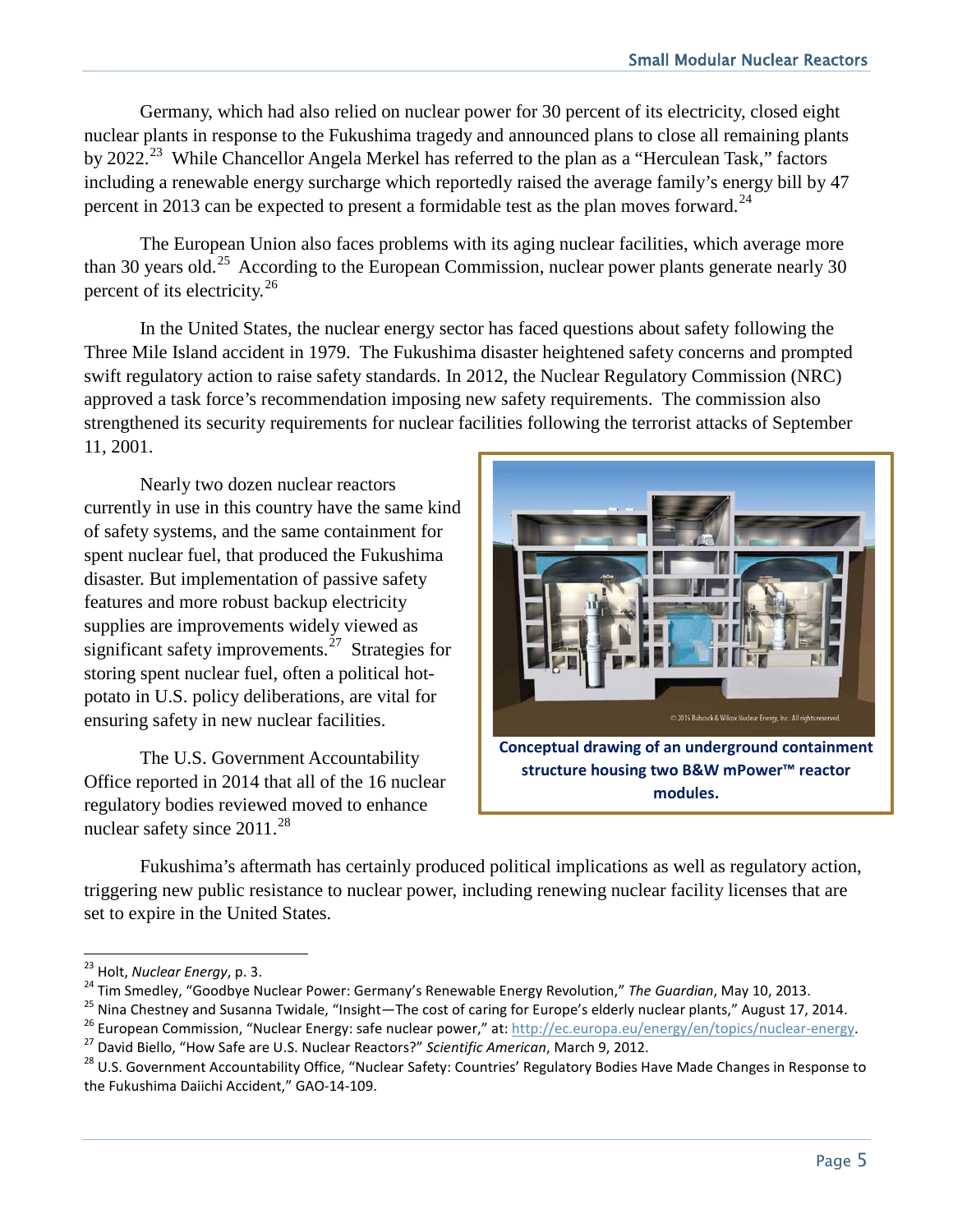Germany, which had also relied on nuclear power for 30 percent of its electricity, closed eight nuclear plants in response to the Fukushima tragedy and announced plans to close all remaining plants by 2022.<sup>23</sup> While Chancellor Angela Merkel has referred to the plan as a "Herculean Task," factors including a renewable energy surcharge which reportedly raised the average family's energy bill by 47 percent in 2013 can be expected to present a formidable test as the plan moves forward.<sup>[24](#page-6-1)</sup>

The European Union also faces problems with its aging nuclear facilities, which average more than 30 years old.<sup>25</sup> According to the European Commission, nuclear power plants generate nearly 30 percent of its electricity.<sup>[26](#page-6-3)</sup>

In the United States, the nuclear energy sector has faced questions about safety following the Three Mile Island accident in 1979. The Fukushima disaster heightened safety concerns and prompted swift regulatory action to raise safety standards. In 2012, the Nuclear Regulatory Commission (NRC) approved a task force's recommendation imposing new safety requirements. The commission also strengthened its security requirements for nuclear facilities following the terrorist attacks of September 11, 2001.

Nearly two dozen nuclear reactors currently in use in this country have the same kind of safety systems, and the same containment for spent nuclear fuel, that produced the Fukushima disaster. But implementation of passive safety features and more robust backup electricity supplies are improvements widely viewed as significant safety improvements.<sup>27</sup> Strategies for storing spent nuclear fuel, often a political hotpotato in U.S. policy deliberations, are vital for ensuring safety in new nuclear facilities.

The U.S. Government Accountability Office reported in 2014 that all of the 16 nuclear regulatory bodies reviewed moved to enhance nuclear safety since 2011.<sup>28</sup>



**Conceptual drawing of an underground containment structure housing two B&W mPower™ reactor modules.**

Fukushima's aftermath has certainly produced political implications as well as regulatory action, triggering new public resistance to nuclear power, including renewing nuclear facility licenses that are set to expire in the United States.

<span id="page-6-0"></span><sup>&</sup>lt;sup>23</sup> Holt, Nuclear Energy, p. 3.

<span id="page-6-3"></span><span id="page-6-2"></span>

<span id="page-6-1"></span><sup>&</sup>lt;sup>24</sup> Tim Smedley, "Goodbye Nuclear Power: Germany's Renewable Energy Revolution," The Guardian, May 10, 2013.<br><sup>25</sup> Nina Chestney and Susanna Twidale, "Insight—The cost of caring for Europe's elderly nuclear plants," August

<span id="page-6-4"></span>

<span id="page-6-5"></span>the Fukushima Daiichi Accident," GAO-14-109.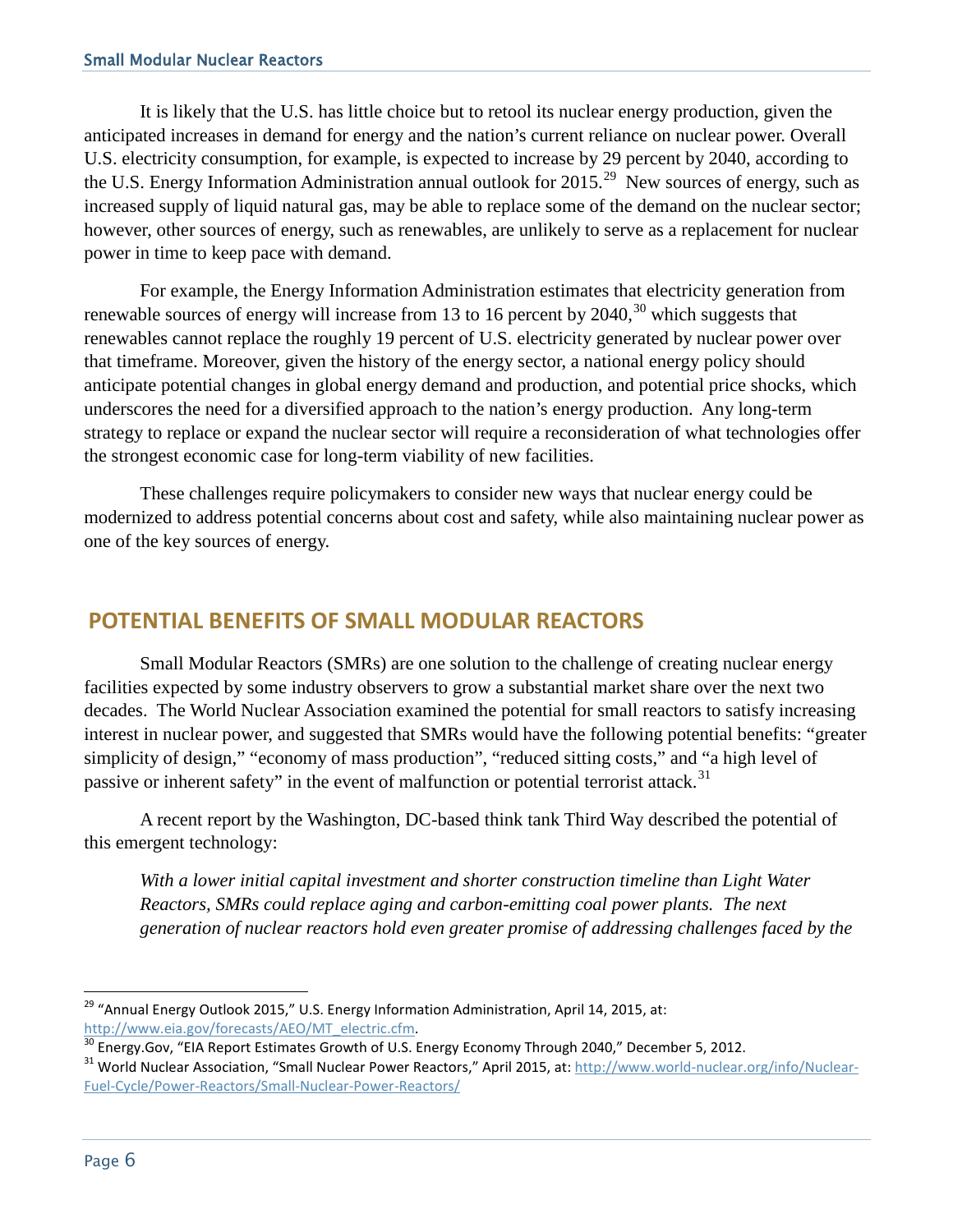It is likely that the U.S. has little choice but to retool its nuclear energy production, given the anticipated increases in demand for energy and the nation's current reliance on nuclear power. Overall U.S. electricity consumption, for example, is expected to increase by 29 percent by 2040, according to the U.S. Energy Information Administration annual outlook for  $2015$ <sup>[29](#page-7-0)</sup> New sources of energy, such as increased supply of liquid natural gas, may be able to replace some of the demand on the nuclear sector; however, other sources of energy, such as renewables, are unlikely to serve as a replacement for nuclear power in time to keep pace with demand.

For example, the Energy Information Administration estimates that electricity generation from renewable sources of energy will increase from 13 to 16 percent by  $2040$ ,<sup>[30](#page-7-1)</sup> which suggests that renewables cannot replace the roughly 19 percent of U.S. electricity generated by nuclear power over that timeframe. Moreover, given the history of the energy sector, a national energy policy should anticipate potential changes in global energy demand and production, and potential price shocks, which underscores the need for a diversified approach to the nation's energy production. Any long-term strategy to replace or expand the nuclear sector will require a reconsideration of what technologies offer the strongest economic case for long-term viability of new facilities.

These challenges require policymakers to consider new ways that nuclear energy could be modernized to address potential concerns about cost and safety, while also maintaining nuclear power as one of the key sources of energy.

# **POTENTIAL BENEFITS OF SMALL MODULAR REACTORS**

Small Modular Reactors (SMRs) are one solution to the challenge of creating nuclear energy facilities expected by some industry observers to grow a substantial market share over the next two decades. The World Nuclear Association examined the potential for small reactors to satisfy increasing interest in nuclear power, and suggested that SMRs would have the following potential benefits: "greater simplicity of design," "economy of mass production", "reduced sitting costs," and "a high level of passive or inherent safety" in the event of malfunction or potential terrorist attack.<sup>[31](#page-7-2)</sup>

A recent report by the Washington, DC-based think tank Third Way described the potential of this emergent technology:

*With a lower initial capital investment and shorter construction timeline than Light Water Reactors, SMRs could replace aging and carbon-emitting coal power plants. The next generation of nuclear reactors hold even greater promise of addressing challenges faced by the* 

<span id="page-7-0"></span> $\overline{a}$ <sup>29</sup> "Annual Energy Outlook 2015," U.S. Energy Information Administration, April 14, 2015, at:

<span id="page-7-2"></span><span id="page-7-1"></span>

http://www.eia.gov/forecasts/AEO/MT electric.cfm.<br><sup>30</sup> Energy.Gov, "EIA Report Estimates Growth of U.S. Energy Economy Through 2040," December 5, 2012.<br><sup>31</sup> World Nuclear Association, "Small Nuclear Power Reactors," April [Fuel-Cycle/Power-Reactors/Small-Nuclear-Power-Reactors/](http://www.world-nuclear.org/info/Nuclear-Fuel-Cycle/Power-Reactors/Small-Nuclear-Power-Reactors/)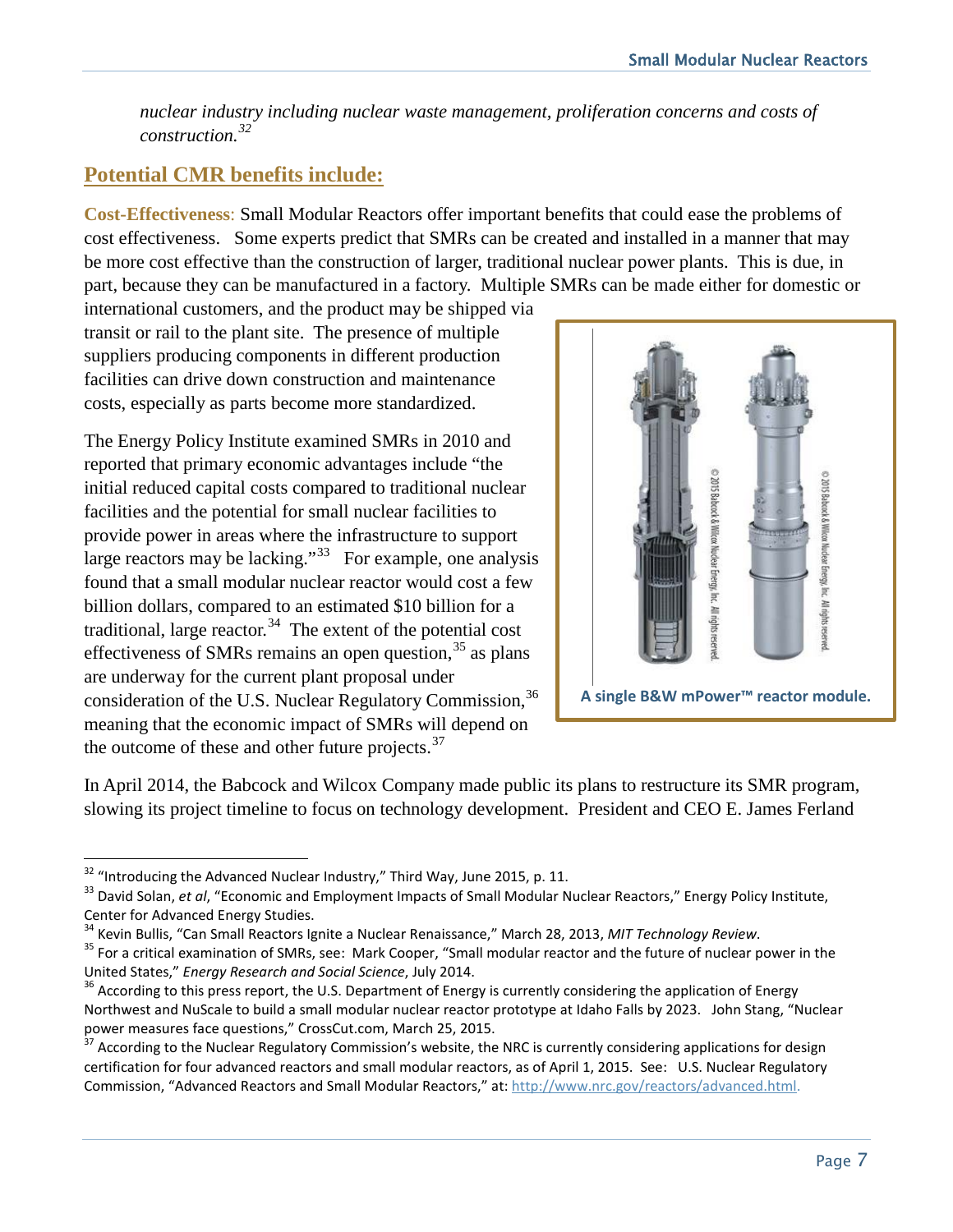*nuclear industry including nuclear waste management, proliferation concerns and costs of construction.[32](#page-8-0)*

# **Potential CMR benefits include:**

**Cost-Effectiveness**: Small Modular Reactors offer important benefits that could ease the problems of cost effectiveness. Some experts predict that SMRs can be created and installed in a manner that may be more cost effective than the construction of larger, traditional nuclear power plants. This is due, in part, because they can be manufactured in a factory. Multiple SMRs can be made either for domestic or

international customers, and the product may be shipped via transit or rail to the plant site. The presence of multiple suppliers producing components in different production facilities can drive down construction and maintenance costs, especially as parts become more standardized.

The Energy Policy Institute examined SMRs in 2010 and reported that primary economic advantages include "the initial reduced capital costs compared to traditional nuclear facilities and the potential for small nuclear facilities to provide power in areas where the infrastructure to support large reactors may be lacking."<sup>[33](#page-8-1)</sup> For example, one analysis found that a small modular nuclear reactor would cost a few billion dollars, compared to an estimated \$10 billion for a traditional, large reactor. $34$  The extent of the potential cost effectiveness of SMRs remains an open question,  $35$  as plans are underway for the current plant proposal under consideration of the U.S. Nuclear Regulatory Commission,<sup>[36](#page-8-4)</sup> meaning that the economic impact of SMRs will depend on the outcome of these and other future projects. $37$ 



In April 2014, the Babcock and Wilcox Company made public its plans to restructure its SMR program, slowing its project timeline to focus on technology development. President and CEO E. James Ferland

<span id="page-8-0"></span><sup>&</sup>lt;sup>32</sup> "Introducing the Advanced Nuclear Industry," Third Way, June 2015, p. 11.

<span id="page-8-1"></span><sup>&</sup>lt;sup>33</sup> David Solan, *et al*, "Economic and Employment Impacts of Small Modular Nuclear Reactors," Energy Policy Institute,

<span id="page-8-3"></span>

<span id="page-8-2"></span>Center for Advanced Energy Studies.<br><sup>34</sup> Kevin Bullis, "Can Small Reactors Ignite a Nuclear Renaissance," March 28, 2013, *MIT Technology Review*.<br><sup>35</sup> For a critical examination of SMRs, see: Mark Cooper, "Small modular r

<span id="page-8-4"></span><sup>&</sup>lt;sup>36</sup> According to this press report, the U.S. Department of Energy is currently considering the application of Energy Northwest and NuScale to build a small modular nuclear reactor prototype at Idaho Falls by 2023. John Stang, "Nuclear power measures face questions," CrossCut.com, March 25, 2015.

<span id="page-8-5"></span><sup>&</sup>lt;sup>37</sup> According to the Nuclear Regulatory Commission's website, the NRC is currently considering applications for design certification for four advanced reactors and small modular reactors, as of April 1, 2015. See: U.S. Nuclear Regulatory Commission, "Advanced Reactors and Small Modular Reactors," at: [http://www.nrc.gov/reactors/advanced.html.](http://www.nrc.gov/reactors/advanced.html)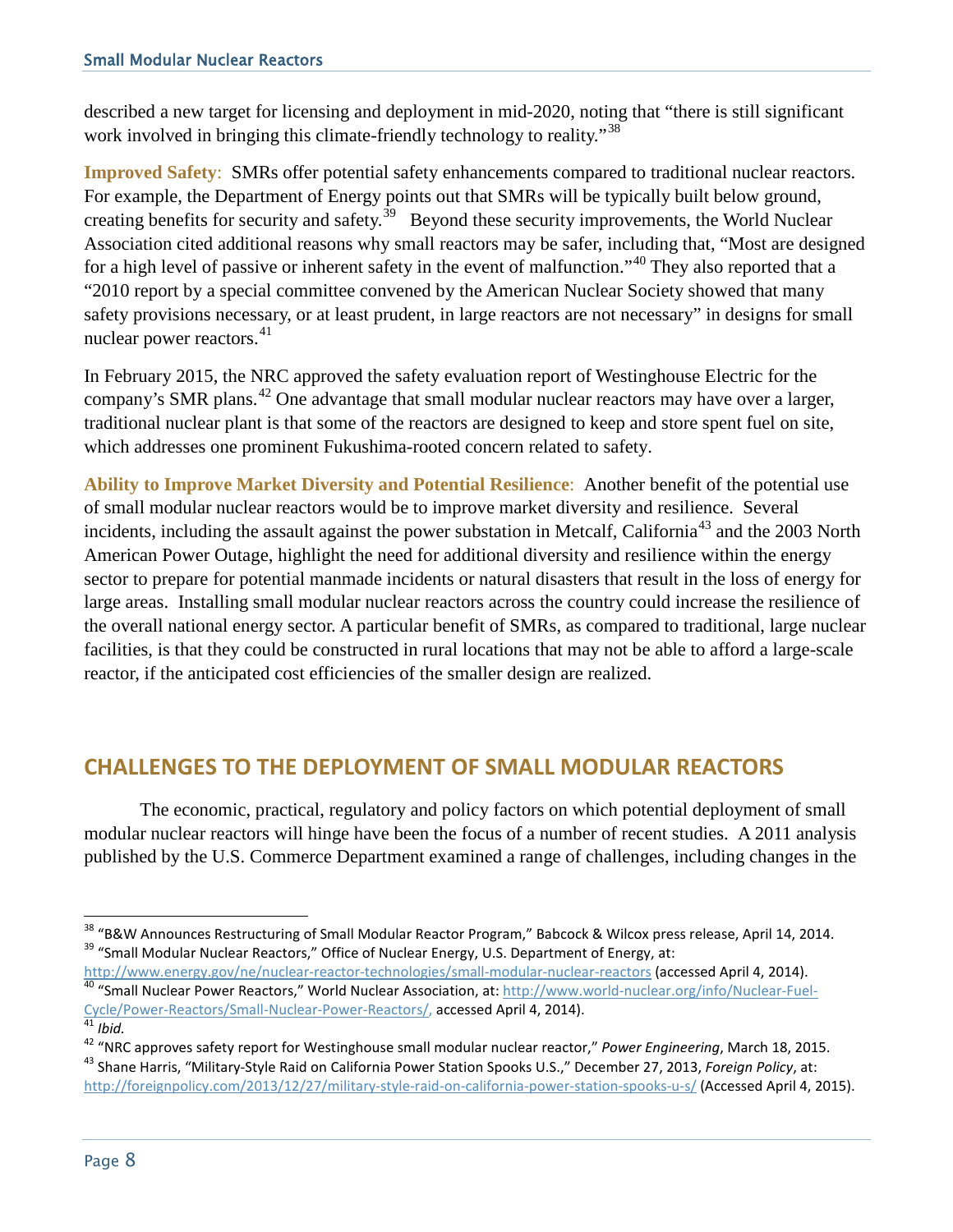described a new target for licensing and deployment in mid-2020, noting that "there is still significant work involved in bringing this climate-friendly technology to reality."<sup>[38](#page-9-0)</sup>

**Improved Safety**: SMRs offer potential safety enhancements compared to traditional nuclear reactors. For example, the Department of Energy points out that SMRs will be typically built below ground, creating benefits for security and safety.<sup>39</sup> Beyond these security improvements, the World Nuclear Association cited additional reasons why small reactors may be safer, including that, "Most are designed for a high level of passive or inherent safety in the event of malfunction."<sup>[40](#page-9-2)</sup> They also reported that a "2010 report by a special committee convened by the American Nuclear Society showed that many safety provisions necessary, or at least prudent, in large reactors are not necessary" in designs for small nuclear power reactors.<sup>[41](#page-9-3)</sup>

In February 2015, the NRC approved the safety evaluation report of Westinghouse Electric for the company's SMR plans.[42](#page-9-4) One advantage that small modular nuclear reactors may have over a larger, traditional nuclear plant is that some of the reactors are designed to keep and store spent fuel on site, which addresses one prominent Fukushima-rooted concern related to safety.

**Ability to Improve Market Diversity and Potential Resilience**: Another benefit of the potential use of small modular nuclear reactors would be to improve market diversity and resilience. Several incidents, including the assault against the power substation in Metcalf, California<sup>[43](#page-9-5)</sup> and the 2003 North American Power Outage, highlight the need for additional diversity and resilience within the energy sector to prepare for potential manmade incidents or natural disasters that result in the loss of energy for large areas. Installing small modular nuclear reactors across the country could increase the resilience of the overall national energy sector. A particular benefit of SMRs, as compared to traditional, large nuclear facilities, is that they could be constructed in rural locations that may not be able to afford a large-scale reactor, if the anticipated cost efficiencies of the smaller design are realized.

### **CHALLENGES TO THE DEPLOYMENT OF SMALL MODULAR REACTORS**

The economic, practical, regulatory and policy factors on which potential deployment of small modular nuclear reactors will hinge have been the focus of a number of recent studies. A 2011 analysis published by the U.S. Commerce Department examined a range of challenges, including changes in the

<span id="page-9-0"></span> $\overline{a}$ <sup>38</sup> "B&W Announces Restructuring of Small Modular Reactor Program," Babcock & Wilcox press release, April 14, 2014.<br><sup>39</sup> "Small Modular Nuclear Reactors," Office of Nuclear Energy, U.S. Department of Energy, at:

<span id="page-9-2"></span><span id="page-9-1"></span><http://www.energy.gov/ne/nuclear-reactor-technologies/small-modular-nuclear-reactors> (accessed April 4, 2014).<br><sup>40</sup> "Small Nuclear Power Reactors," World Nuclear Association, at: http://www.world-nuclear.org/info/Nuclear-F [Cycle/Power-Reactors/Small-Nuclear-Power-Reactors/,](http://www.world-nuclear.org/info/Nuclear-Fuel-Cycle/Power-Reactors/Small-Nuclear-Power-Reactors/) accessed April 4, 2014). <sup>41</sup> *Ibid.*

<span id="page-9-4"></span><span id="page-9-3"></span><sup>&</sup>lt;sup>42</sup> "NRC approves safety report for Westinghouse small modular nuclear reactor," Power Engineering, March 18, 2015.<br><sup>43</sup> Shane Harris, "Military-Style Raid on California Power Station Spooks U.S.," December 27, 2013, Fore

<span id="page-9-5"></span><http://foreignpolicy.com/2013/12/27/military-style-raid-on-california-power-station-spooks-u-s/> (Accessed April 4, 2015).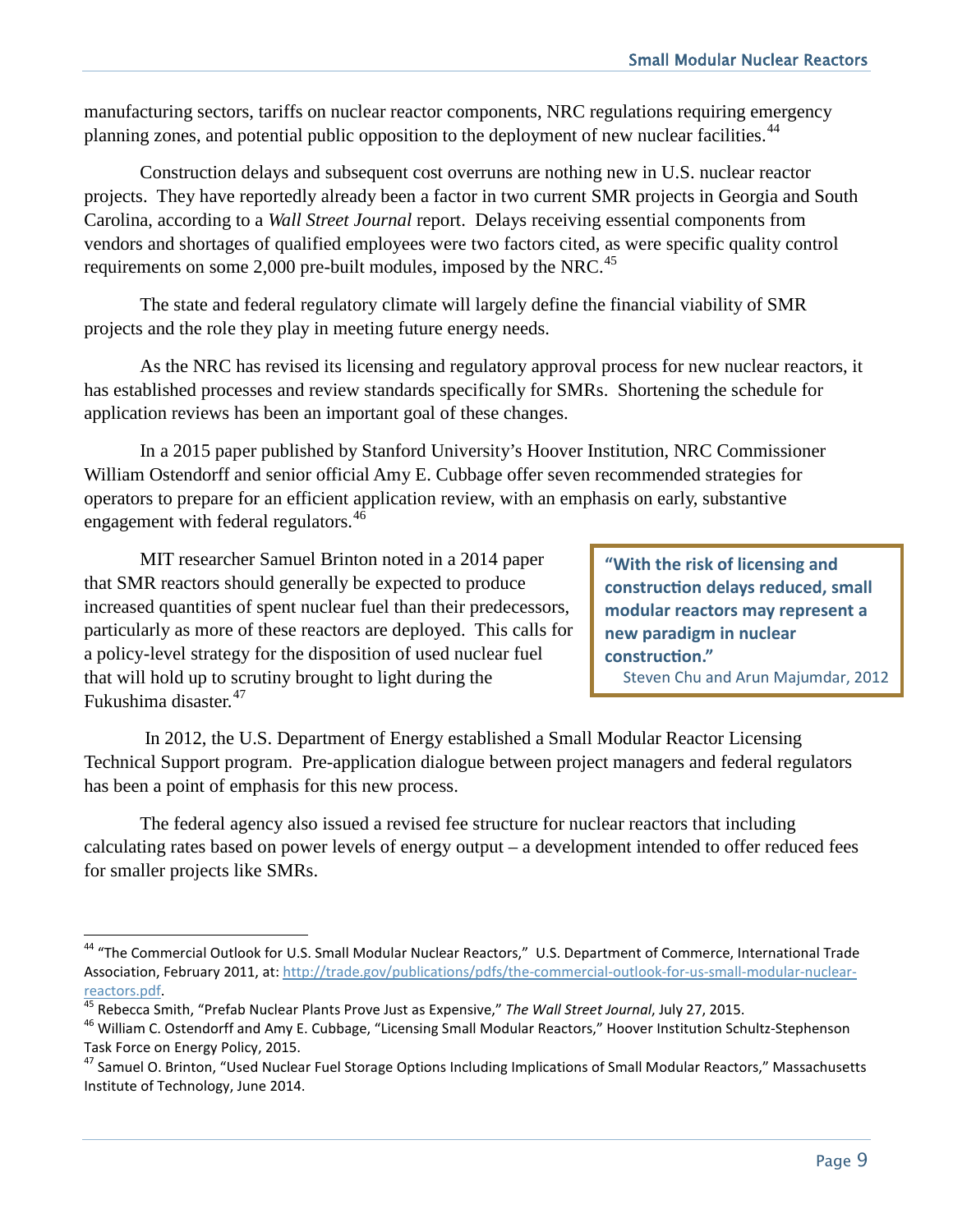manufacturing sectors, tariffs on nuclear reactor components, NRC regulations requiring emergency planning zones, and potential public opposition to the deployment of new nuclear facilities.<sup>[44](#page-10-0)</sup>

Construction delays and subsequent cost overruns are nothing new in U.S. nuclear reactor projects. They have reportedly already been a factor in two current SMR projects in Georgia and South Carolina, according to a *Wall Street Journal* report. Delays receiving essential components from vendors and shortages of qualified employees were two factors cited, as were specific quality control requirements on some 2,000 pre-built modules, imposed by the NRC.<sup>[45](#page-10-1)</sup>

The state and federal regulatory climate will largely define the financial viability of SMR projects and the role they play in meeting future energy needs.

As the NRC has revised its licensing and regulatory approval process for new nuclear reactors, it has established processes and review standards specifically for SMRs. Shortening the schedule for application reviews has been an important goal of these changes.

In a 2015 paper published by Stanford University's Hoover Institution, NRC Commissioner William Ostendorff and senior official Amy E. Cubbage offer seven recommended strategies for operators to prepare for an efficient application review, with an emphasis on early, substantive engagement with federal regulators.<sup>[46](#page-10-2)</sup>

MIT researcher Samuel Brinton noted in a 2014 paper that SMR reactors should generally be expected to produce increased quantities of spent nuclear fuel than their predecessors, particularly as more of these reactors are deployed. This calls for a policy-level strategy for the disposition of used nuclear fuel that will hold up to scrutiny brought to light during the Fukushima disaster.[47](#page-10-3)

l

**"With the risk of licensing and construction delays reduced, small modular reactors may represent a new paradigm in nuclear construction."** Steven Chu and Arun Majumdar, 2012

In 2012, the U.S. Department of Energy established a Small Modular Reactor Licensing Technical Support program. Pre-application dialogue between project managers and federal regulators has been a point of emphasis for this new process.

The federal agency also issued a revised fee structure for nuclear reactors that including calculating rates based on power levels of energy output – a development intended to offer reduced fees for smaller projects like SMRs.

<span id="page-10-0"></span><sup>&</sup>lt;sup>44</sup> "The Commercial Outlook for U.S. Small Modular Nuclear Reactors," U.S. Department of Commerce, International Trade Association, February 2011, at: [http://trade.gov/publications/pdfs/the-commercial-outlook-for-us-small-modular-nuclear](http://trade.gov/publications/pdfs/the-commercial-outlook-for-us-small-modular-nuclear-reactors.pdf)[reactors.pdf.](http://trade.gov/publications/pdfs/the-commercial-outlook-for-us-small-modular-nuclear-reactors.pdf)<br><sup>45</sup> Rebecca Smith, "Prefab Nuclear Plants Prove Just as Expensive," The Wall Street Journal, July 27, 2015.<br><sup>46</sup> William C. Ostendorff and Amy E. Cubbage, "Licensing Small Modular Reactors," Hoover Instituti

<span id="page-10-1"></span>

<span id="page-10-2"></span>Task Force on Energy Policy, 2015.

<span id="page-10-3"></span><sup>&</sup>lt;sup>47</sup> Samuel O. Brinton, "Used Nuclear Fuel Storage Options Including Implications of Small Modular Reactors," Massachusetts Institute of Technology, June 2014.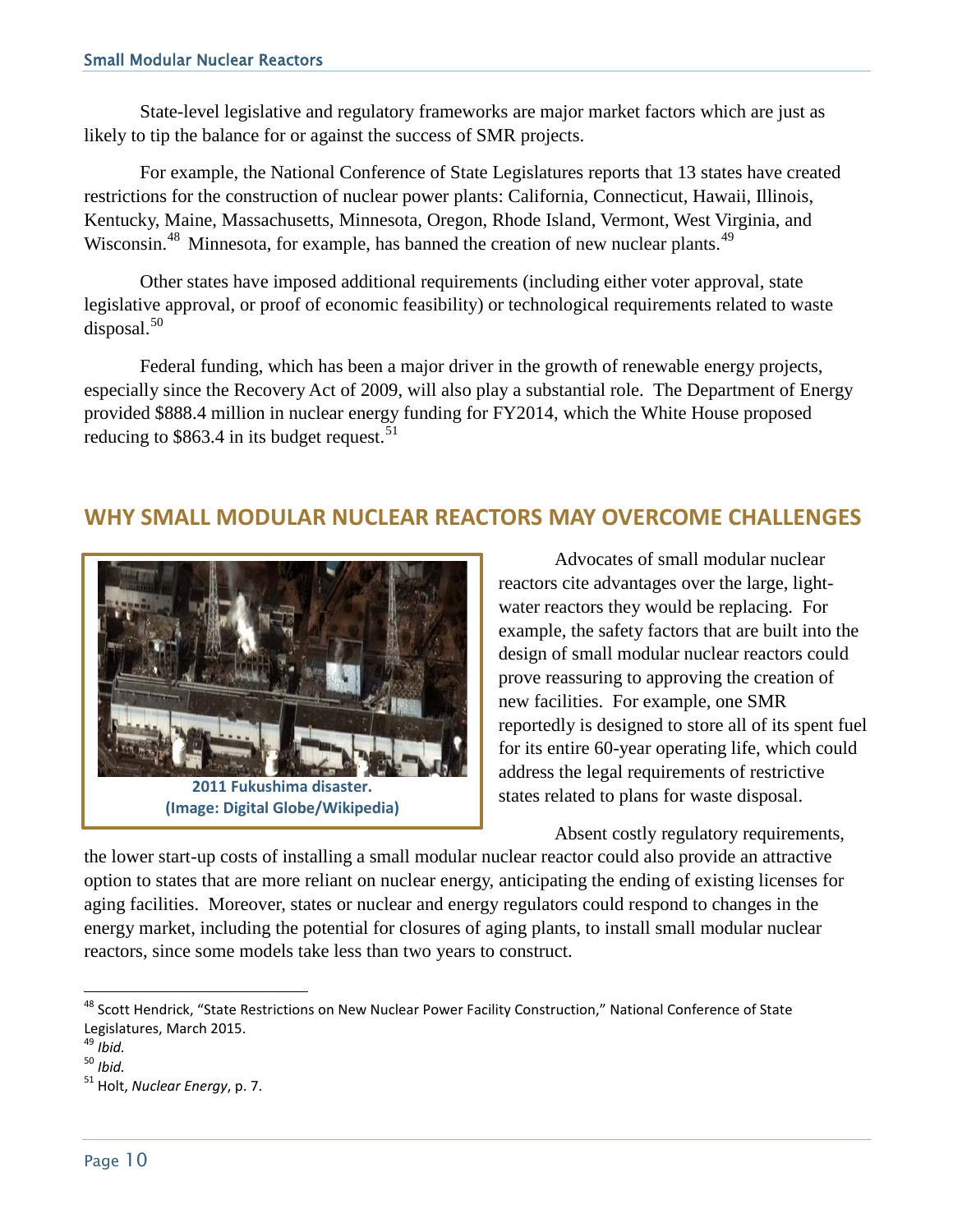State-level legislative and regulatory frameworks are major market factors which are just as likely to tip the balance for or against the success of SMR projects.

For example, the National Conference of State Legislatures reports that 13 states have created restrictions for the construction of nuclear power plants: California, Connecticut, Hawaii, Illinois, Kentucky, Maine, Massachusetts, Minnesota, Oregon, Rhode Island, Vermont, West Virginia, and Wisconsin.<sup>[48](#page-11-0)</sup> Minnesota, for example, has banned the creation of new nuclear plants.<sup>49</sup>

Other states have imposed additional requirements (including either voter approval, state legislative approval, or proof of economic feasibility) or technological requirements related to waste disposal. $50$ 

Federal funding, which has been a major driver in the growth of renewable energy projects, especially since the Recovery Act of 2009, will also play a substantial role. The Department of Energy provided \$888.4 million in nuclear energy funding for FY2014, which the White House proposed reducing to  $$863.4$  in its budget request.<sup>[51](#page-11-3)</sup>

### **WHY SMALL MODULAR NUCLEAR REACTORS MAY OVERCOME CHALLENGES**



**(Image: Digital Globe/Wikipedia)**

Advocates of small modular nuclear reactors cite advantages over the large, lightwater reactors they would be replacing. For example, the safety factors that are built into the design of small modular nuclear reactors could prove reassuring to approving the creation of new facilities. For example, one SMR reportedly is designed to store all of its spent fuel for its entire 60-year operating life, which could address the legal requirements of restrictive states related to plans for waste disposal.

Absent costly regulatory requirements,

the lower start-up costs of installing a small modular nuclear reactor could also provide an attractive option to states that are more reliant on nuclear energy, anticipating the ending of existing licenses for aging facilities. Moreover, states or nuclear and energy regulators could respond to changes in the energy market, including the potential for closures of aging plants, to install small modular nuclear reactors, since some models take less than two years to construct.

<span id="page-11-0"></span> $\overline{\phantom{a}}$ <sup>48</sup> Scott Hendrick, "State Restrictions on New Nuclear Power Facility Construction," National Conference of State Legislatures, March 2015.

<sup>49</sup> *Ibid.*

<span id="page-11-2"></span><span id="page-11-1"></span><sup>50</sup> *Ibid.*

<span id="page-11-3"></span><sup>51</sup> Holt, *Nuclear Energy*, p. 7.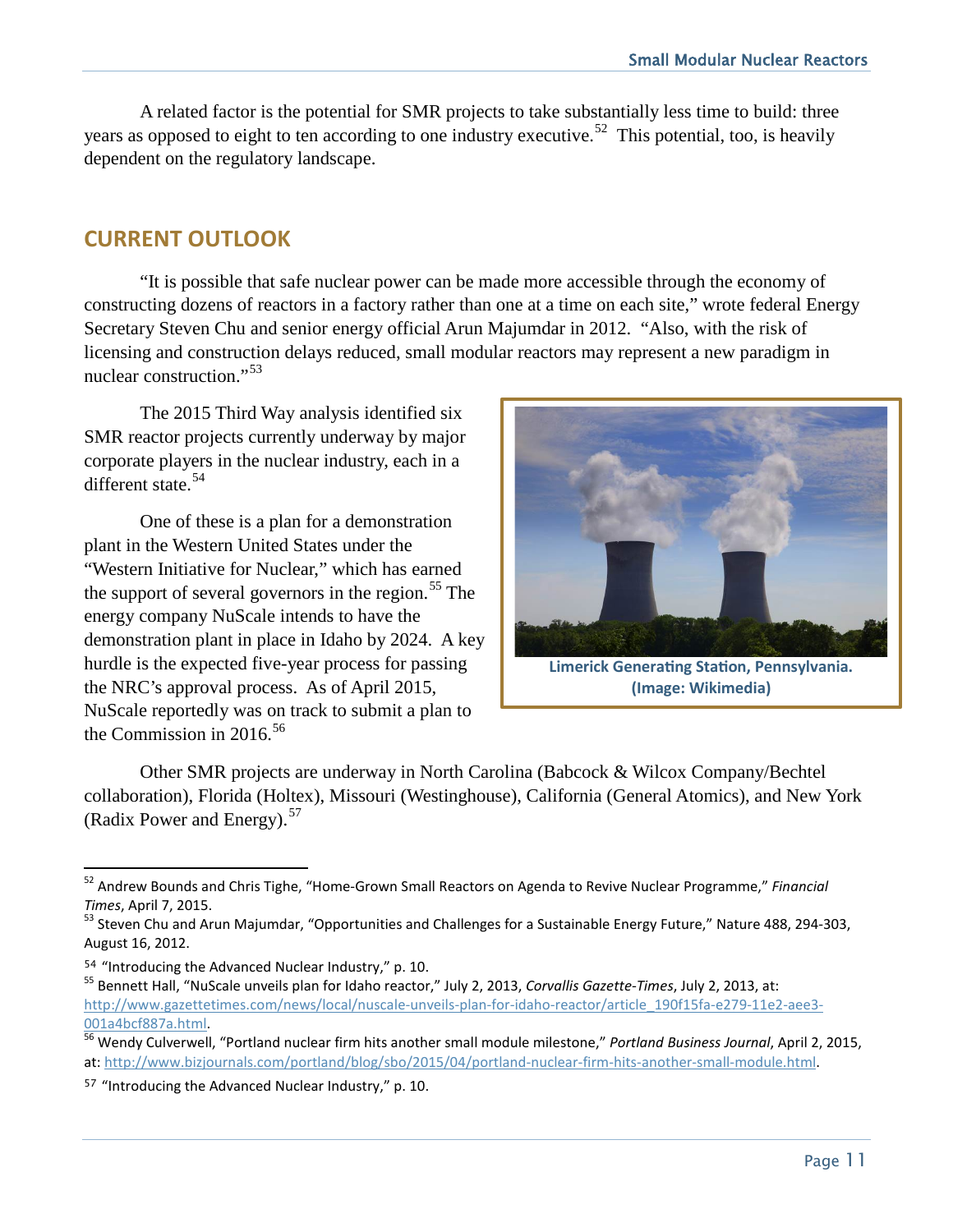A related factor is the potential for SMR projects to take substantially less time to build: three years as opposed to eight to ten according to one industry executive.<sup>[52](#page-12-0)</sup> This potential, too, is heavily dependent on the regulatory landscape.

# **CURRENT OUTLOOK**

"It is possible that safe nuclear power can be made more accessible through the economy of constructing dozens of reactors in a factory rather than one at a time on each site," wrote federal Energy Secretary Steven Chu and senior energy official Arun Majumdar in 2012. "Also, with the risk of licensing and construction delays reduced, small modular reactors may represent a new paradigm in nuclear construction."[53](#page-12-1)

The 2015 Third Way analysis identified six SMR reactor projects currently underway by major corporate players in the nuclear industry, each in a different state.<sup>54</sup>

One of these is a plan for a demonstration plant in the Western United States under the "Western Initiative for Nuclear," which has earned the support of several governors in the region. [55](#page-12-3) The energy company NuScale intends to have the demonstration plant in place in Idaho by 2024. A key hurdle is the expected five-year process for passing the NRC's approval process. As of April 2015, NuScale reportedly was on track to submit a plan to the Commission in 2016.<sup>[56](#page-12-4)</sup>



**Limerick Generating Station, Pennsylvania. (Image: Wikimedia)**

Other SMR projects are underway in North Carolina (Babcock & Wilcox Company/Bechtel collaboration), Florida (Holtex), Missouri (Westinghouse), California (General Atomics), and New York (Radix Power and Energy).<sup>57</sup>

<span id="page-12-0"></span> $\overline{a}$ <sup>52</sup> Andrew Bounds and Chris Tighe, "Home-Grown Small Reactors on Agenda to Revive Nuclear Programme," *Financial Times*, April 7, 2015.<br><sup>53</sup> Steven Chu and Arun Majumdar, "Opportunities and Challenges for a Sustainable Energy Future," Nature 488, 294-303,

<span id="page-12-1"></span>August 16, 2012.

<span id="page-12-3"></span><span id="page-12-2"></span><sup>&</sup>lt;sup>54</sup> "Introducing the Advanced Nuclear Industry," p. 10.<br><sup>55</sup> Bennett Hall, "NuScale unveils plan for Idaho reactor," July 2, 2013, Corvallis Gazette-Times, July 2, 2013, at: [http://www.gazettetimes.com/news/local/nuscale-unveils-plan-for-idaho-reactor/article\\_190f15fa-e279-11e2-aee3-](http://www.gazettetimes.com/news/local/nuscale-unveils-plan-for-idaho-reactor/article_190f15fa-e279-11e2-aee3-001a4bcf887a.html) [001a4bcf887a.html.](http://www.gazettetimes.com/news/local/nuscale-unveils-plan-for-idaho-reactor/article_190f15fa-e279-11e2-aee3-001a4bcf887a.html) <sup>56</sup> Wendy Culverwell, "Portland nuclear firm hits another small module milestone," *Portland Business Journal*, April 2, 2015,

<span id="page-12-4"></span>at: [http://www.bizjournals.com/portland/blog/sbo/2015/04/portland-nuclear-firm-hits-another-small-module.html.](http://www.bizjournals.com/portland/blog/sbo/2015/04/portland-nuclear-firm-hits-another-small-module.html)

<span id="page-12-5"></span><sup>57</sup> "Introducing the Advanced Nuclear Industry," p. 10.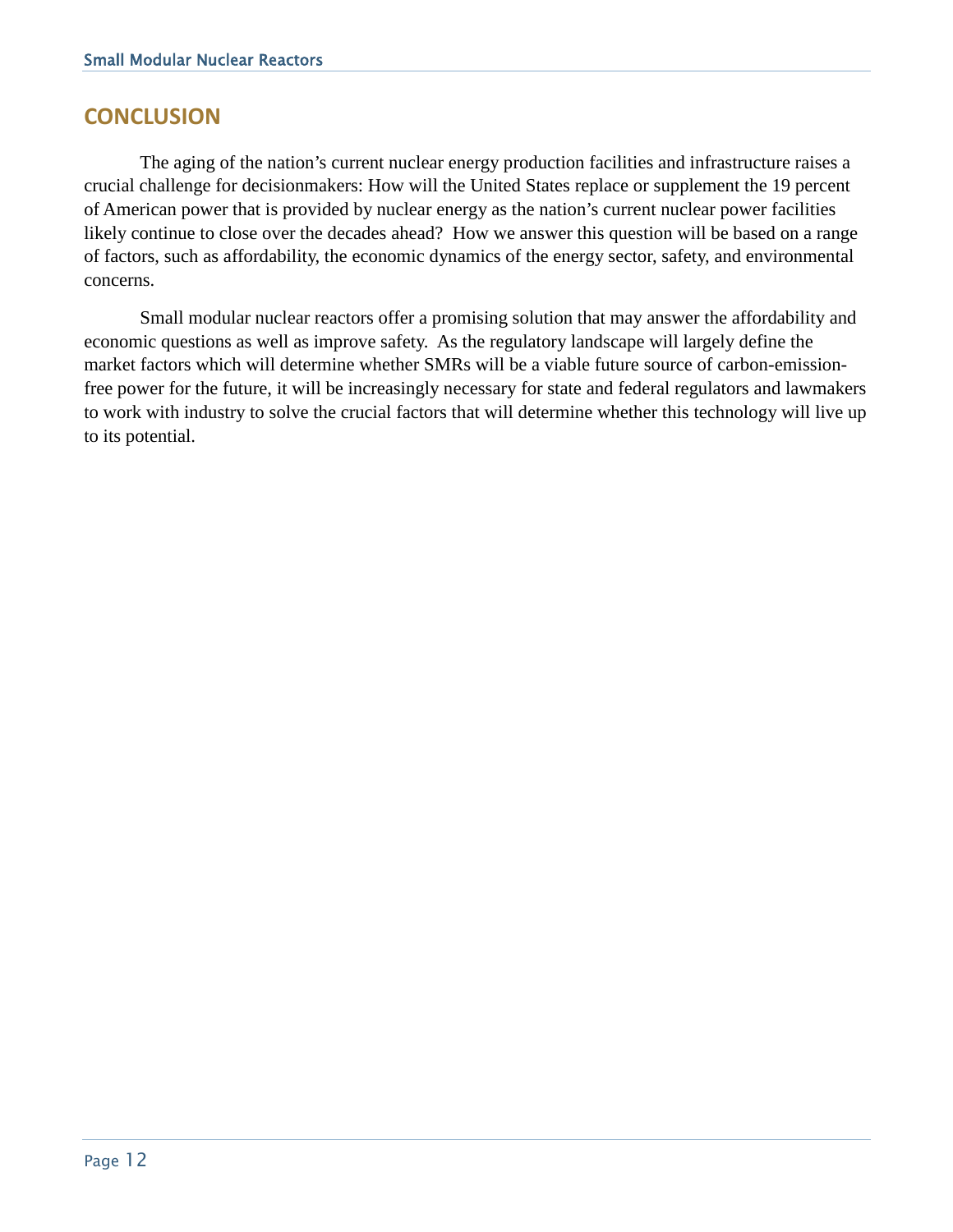#### **CONCLUSION**

The aging of the nation's current nuclear energy production facilities and infrastructure raises a crucial challenge for decisionmakers: How will the United States replace or supplement the 19 percent of American power that is provided by nuclear energy as the nation's current nuclear power facilities likely continue to close over the decades ahead? How we answer this question will be based on a range of factors, such as affordability, the economic dynamics of the energy sector, safety, and environmental concerns.

Small modular nuclear reactors offer a promising solution that may answer the affordability and economic questions as well as improve safety. As the regulatory landscape will largely define the market factors which will determine whether SMRs will be a viable future source of carbon-emissionfree power for the future, it will be increasingly necessary for state and federal regulators and lawmakers to work with industry to solve the crucial factors that will determine whether this technology will live up to its potential.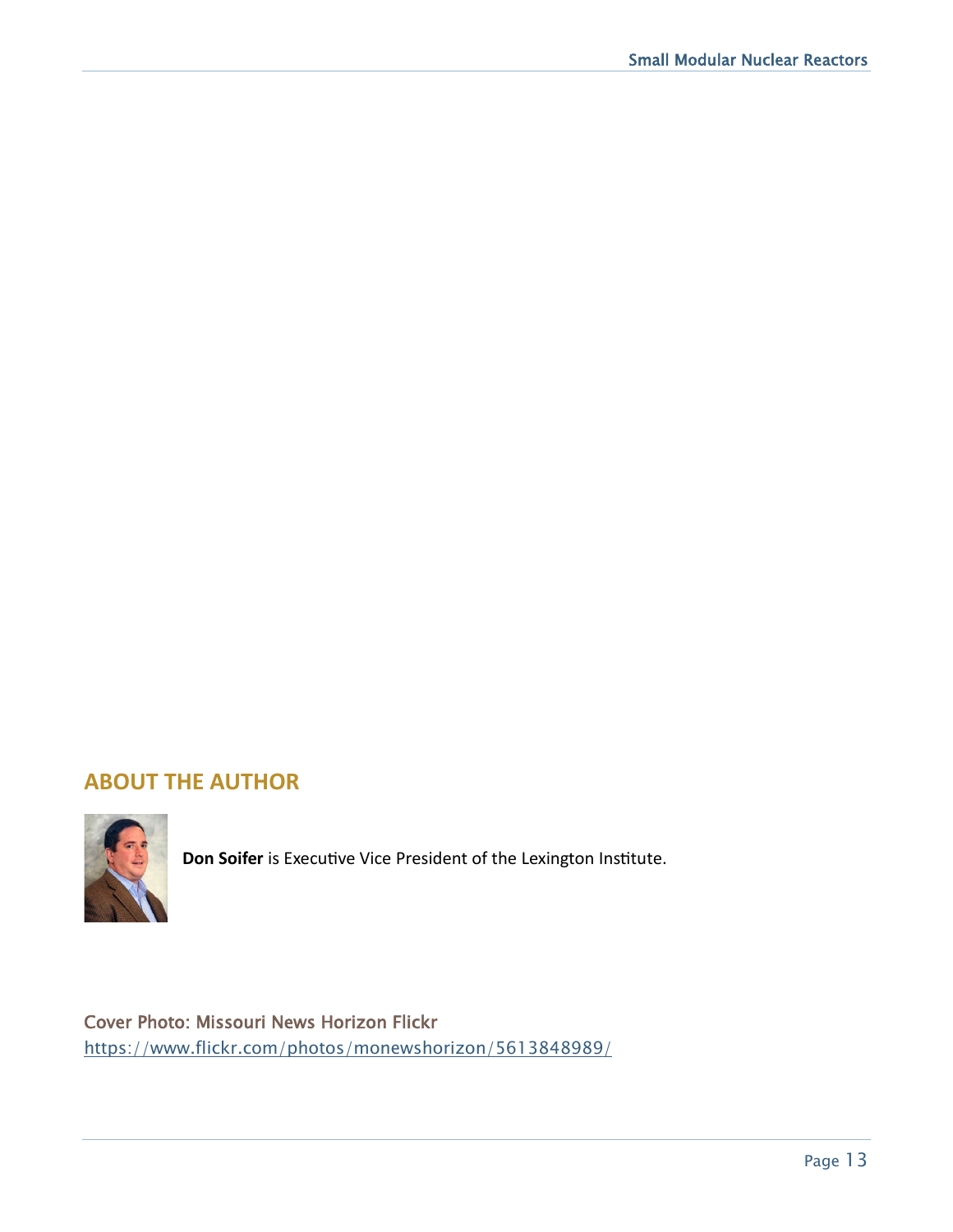### **ABOUT THE AUTHOR**



**Don Soifer** is Executive Vice President of the Lexington Institute.

Cover Photo: Missouri News Horizon Flickr <https://www.flickr.com/photos/monewshorizon/5613848989/>